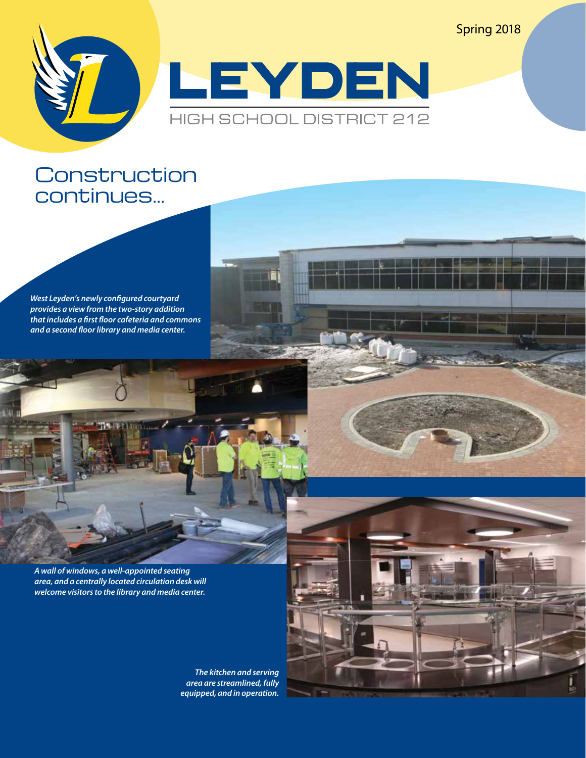Spring 2018



### **Construction** continues...

*West Leyden's newly configured courtyard provides a view from the two-story addition that includes a first floor cafeteria and commons and a second floor library and media center.*

*A wall of windows, a well-appointed seating area, and a centrally located circulation desk will welcome visitors to the library and media center.* 

> *The kitchen and serving area are streamlined, fully equipped, and in operation.*

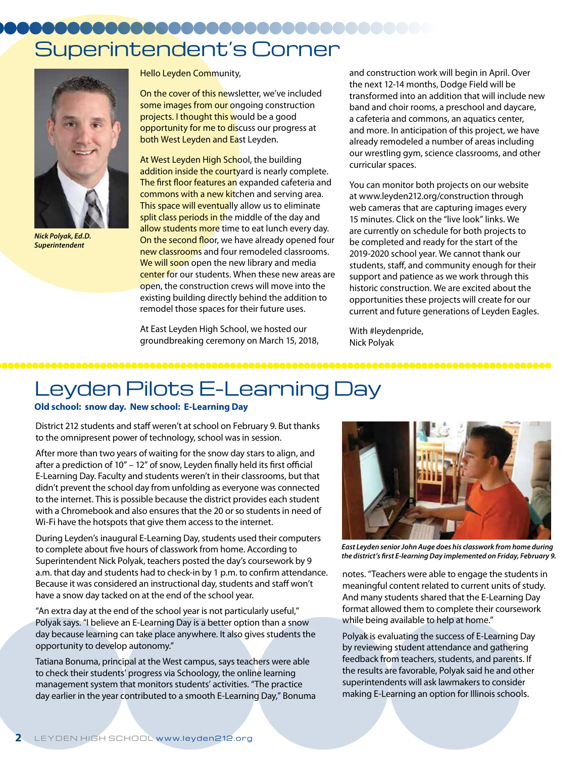# Superintendent's Corner



*Nick Polyak, Ed.D. Superintendent*

Hello Leyden Community,

On the cover of this newsletter, we've included some images from our ongoing construction projects. I thought this would be a good opportunity for me to discuss our progress at both West Leyden and East Leyden.

At West Leyden High School, the building addition inside the courty ard is nearly complete. The first floor features an expanded cafeteria and commons with a new kitchen and serving area. This space will eventually allow us to eliminate split class periods in the middle of the day and allow students more time to eat lunch every day. On the second floor, we have already opened four new classrooms and four remodeled classrooms. We will soon open the new library and media center for our students. When these new areas are open, the construction crews will move into the existing building directly behind the addition to remodel those spaces for their future uses.

At East Leyden High School, we hosted our groundbreaking ceremony on March 15, 2018, and construction work will begin in April. Over the next 12-14 months, Dodge Field will be transformed into an addition that will include new band and choir rooms, a preschool and daycare, a cafeteria and commons, an aquatics center, and more. In anticipation of this project, we have already remodeled a number of areas including our wrestling gym, science classrooms, and other curricular spaces.

You can monitor both projects on our website at www.leyden212.org/construction through web cameras that are capturing images every 15 minutes. Click on the "live look" links. We are currently on schedule for both projects to be completed and ready for the start of the 2019-2020 school year. We cannot thank our students, staff, and community enough for their support and patience as we work through this historic construction. We are excited about the opportunities these projects will create for our current and future generations of Leyden Eagles.

With #leydenpride, Nick Polyak

# Leyden Pilots E-Learning Day

### **Old school: snow day. New school: E-Learning Day**

District 212 students and staff weren't at school on February 9. But thanks to the omnipresent power of technology, school was in session.

After more than two years of waiting for the snow day stars to align, and after a prediction of 10" – 12" of snow, Leyden finally held its first official E-Learning Day. Faculty and students weren't in their classrooms, but that didn't prevent the school day from unfolding as everyone was connected to the internet. This is possible because the district provides each student with a Chromebook and also ensures that the 20 or so students in need of Wi-Fi have the hotspots that give them access to the internet.

During Leyden's inaugural E-Learning Day, students used their computers to complete about five hours of classwork from home. According to Superintendent Nick Polyak, teachers posted the day's coursework by 9 a.m. that day and students had to check-in by 1 p.m. to confirm attendance. Because it was considered an instructional day, students and staff won't have a snow day tacked on at the end of the school year.

"An extra day at the end of the school year is not particularly useful," Polyak says. "I believe an E-Learning Day is a better option than a snow day because learning can take place anywhere. It also gives students the opportunity to develop autonomy."

Tatiana Bonuma, principal at the West campus, says teachers were able to check their students' progress via Schoology, the online learning management system that monitors students' activities. "The practice day earlier in the year contributed to a smooth E-Learning Day," Bonuma



*East Leyden senior John Auge does his classwork from home during the district's first E-learning Day implemented on Friday, February 9.*

notes. "Teachers were able to engage the students in meaningful content related to current units of study. And many students shared that the E-Learning Day format allowed them to complete their coursework while being available to help at home."

Polyak is evaluating the success of E-Learning Day by reviewing student attendance and gathering feedback from teachers, students, and parents. If the results are favorable, Polyak said he and other superintendents will ask lawmakers to consider making E-Learning an option for Illinois schools.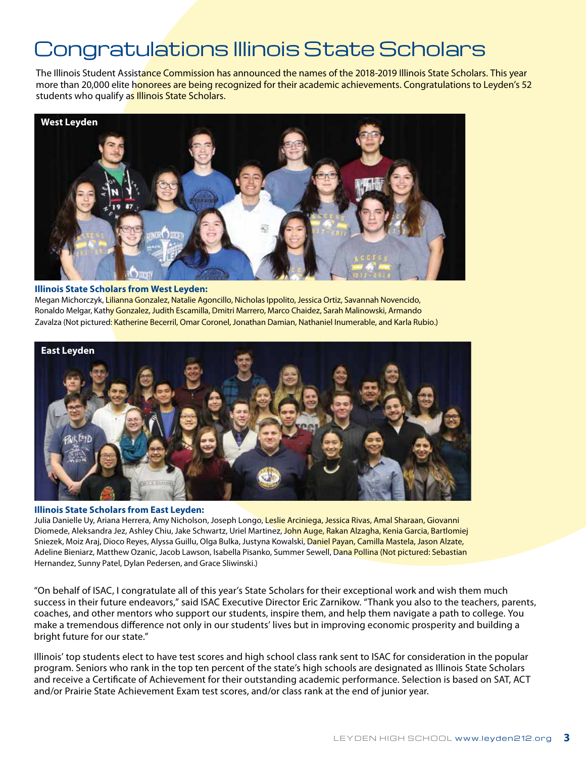# Congratulations Illinois State Scholars

The Illinois Student Assistance Commission has announced the names of the 2018-2019 Illinois State Scholars. This year more than 20,000 elite honorees are being recognized for their academic achievements. Congratulations to Leyden's 52 students who qualify as Illinois State Scholars.



### **Illinois State Scholars from West Leyden:**

Megan Michorczyk, <mark>Lilianna Gonzalez, Natalie Agoncillo, Nicholas Ippolito, Jessica Ortiz, Savannah Novencido,</mark> Ronaldo Melgar, Kath<mark>y Gonzalez, Judith Escamilla, Dmitri Marrero, Marco Chaidez, Sarah Malinowski, Armando</mark> Zavalza (Not pictured: Katherine Becerril, Omar Coronel, Jonathan Damian, Nathaniel Inumerable, and Karla Rubio.)



### **Illinois State Scholars from East Leyden:**

Julia Danielle Uy, Ariana Herrera, Amy Nicholson, Joseph Longo, Leslie Arciniega, Jessica Rivas, Amal Sharaan, Giovanni Diomede, Aleksandra Jez, Ashley Chiu, Jake Schwartz, Uriel Martinez, John Auge, Rakan Alzagha, Kenia Garcia, Bartlomiej Sniezek, Moiz Araj, Dioco Reyes, Alyssa Guillu, Olga Bulka, Justyna Kowalski, Daniel Payan, Camilla Mastela, Jason Alzate, Adeline Bieniarz, Matthew Ozanic, Jacob Lawson, Isabella Pisanko, Summer Sewell, Dana Pollina (Not pictured: Sebastian Hernandez, Sunny Patel, Dylan Pedersen, and Grace Sliwinski.)

"On behalf of ISAC, I congratulate all of this year's State Scholars for their exceptional work and wish them much success in their future endeavors," said ISAC Executive Director Eric Zarnikow. "Thank you also to the teachers, parents, coaches, and other mentors who support our students, inspire them, and help them navigate a path to college. You make a tremendous difference not only in our students' lives but in improving economic prosperity and building a bright future for our state."

Illinois' top students elect to have test scores and high school class rank sent to ISAC for consideration in the popular program. Seniors who rank in the top ten percent of the state's high schools are designated as Illinois State Scholars and receive a Certificate of Achievement for their outstanding academic performance. Selection is based on SAT, ACT and/or Prairie State Achievement Exam test scores, and/or class rank at the end of junior year.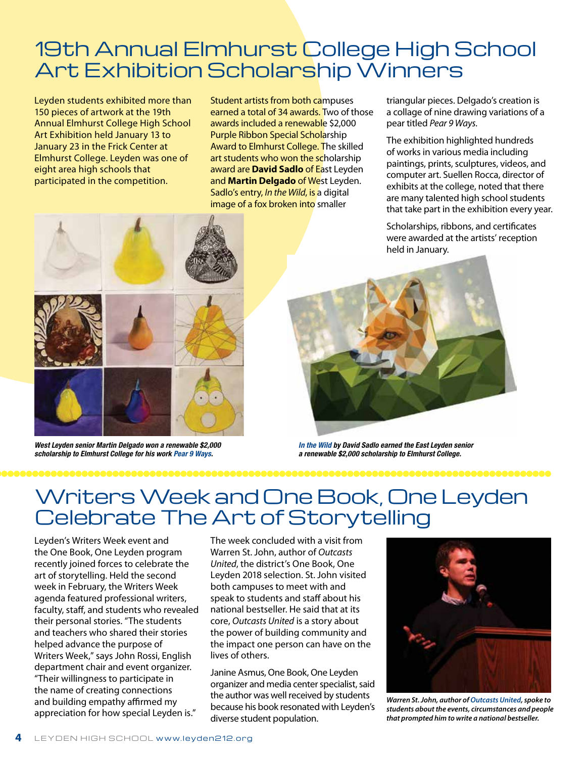### 19th Annual Elmhurst College High School Art Exhibition Scholarship Winners

Leyden students exhibited more than 150 pieces of artwork at the 19th Annual Elmhurst College High School Art Exhibition held January 13 to January 23 in the Frick Center at Elmhurst College. Leyden was one of eight area high schools that participated in the competition.

Student artists from both campuses earned a total of 34 awards. Two of those awards included a renewable \$2,000 Purple Ribbon Special Scholarship Award to Elmhurst College. The skilled art students who won the scholarship award are **David Sadlo** of East Leyden and **Martin Delgado** of West Leyden. Sadlo's entry, *In the Wild*, is a digital image of a fox broken into smaller

triangular pieces. Delgado's creation is a collage of nine drawing variations of a pear titled *Pear 9 Ways*.

The exhibition highlighted hundreds of works in various media including paintings, prints, sculptures, videos, and computer art. Suellen Rocca, director of exhibits at the college, noted that there are many talented high school students that take part in the exhibition every year.

Scholarships, ribbons, and certificates were awarded at the artists' reception held in January.



*West Leyden senior Martin Delgado won a renewable \$2,000 scholarship to Elmhurst College for his work Pear 9 Ways.*



*In the Wild by David Sadlo earned the East Leyden senior a renewable \$2,000 scholarship to Elmhurst College.*

# Writers Week and One Book, One Leyden Celebrate The Art of Storytelling

Leyden's Writers Week event and the One Book, One Leyden program recently joined forces to celebrate the art of storytelling. Held the second week in February, the Writers Week agenda featured professional writers, faculty, staff, and students who revealed their personal stories. "The students and teachers who shared their stories helped advance the purpose of Writers Week," says John Rossi, English department chair and event organizer. "Their willingness to participate in the name of creating connections and building empathy affirmed my appreciation for how special Leyden is."

The week concluded with a visit from Warren St. John, author of *Outcasts United*, the district's One Book, One Leyden 2018 selection. St. John visited both campuses to meet with and speak to students and staff about his national bestseller. He said that at its core, *Outcasts United* is a story about the power of building community and the impact one person can have on the lives of others.

Janine Asmus, One Book, One Leyden organizer and media center specialist, said the author was well received by students because his book resonated with Leyden's diverse student population.



*Warren St. John, author of Outcasts United, spoke to students about the events, circumstances and people that prompted him to write a national bestseller.*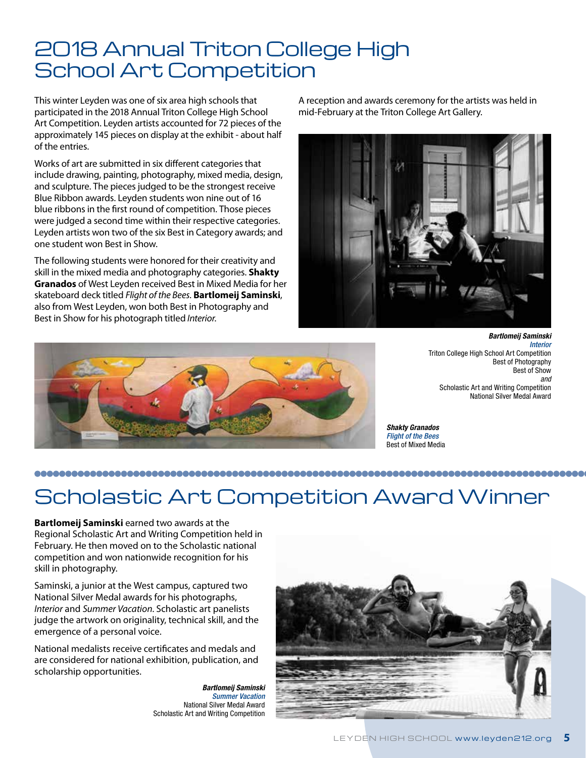### 2018 Annual Triton College High School Art Competition

This winter Leyden was one of six area high schools that participated in the 2018 Annual Triton College High School Art Competition. Leyden artists accounted for 72 pieces of the approximately 145 pieces on display at the exhibit - about half of the entries.

Works of art are submitted in six different categories that include drawing, painting, photography, mixed media, design, and sculpture. The pieces judged to be the strongest receive Blue Ribbon awards. Leyden students won nine out of 16 blue ribbons in the first round of competition. Those pieces were judged a second time within their respective categories. Leyden artists won two of the six Best in Category awards; and one student won Best in Show.

The following students were honored for their creativity and skill in the mixed media and photography categories. **Shakty Granados** of West Leyden received Best in Mixed Media for her skateboard deck titled *Flight of the Bees*. **Bartlomeij Saminski**, also from West Leyden, won both Best in Photography and Best in Show for his photograph titled *Interior*.

A reception and awards ceremony for the artists was held in mid-February at the Triton College Art Gallery.





*Bartlomeij Saminski Interior* Triton College High School Art Competition Best of Photography Best of Show *and* Scholastic Art and Writing Competition National Silver Medal Award

*Shakty Granados Flight of the Bees* Best of Mixed Media

### 

## Scholastic Art Competition Award Winner

**Bartlomeij Saminski** earned two awards at the Regional Scholastic Art and Writing Competition held in February. He then moved on to the Scholastic national competition and won nationwide recognition for his skill in photography.

Saminski, a junior at the West campus, captured two National Silver Medal awards for his photographs, *Interior* and *Summer Vacation*. Scholastic art panelists judge the artwork on originality, technical skill, and the emergence of a personal voice.

National medalists receive certificates and medals and are considered for national exhibition, publication, and scholarship opportunities.

> *Bartlomeij Saminski Summer Vacation* National Silver Medal Award Scholastic Art and Writing Competition

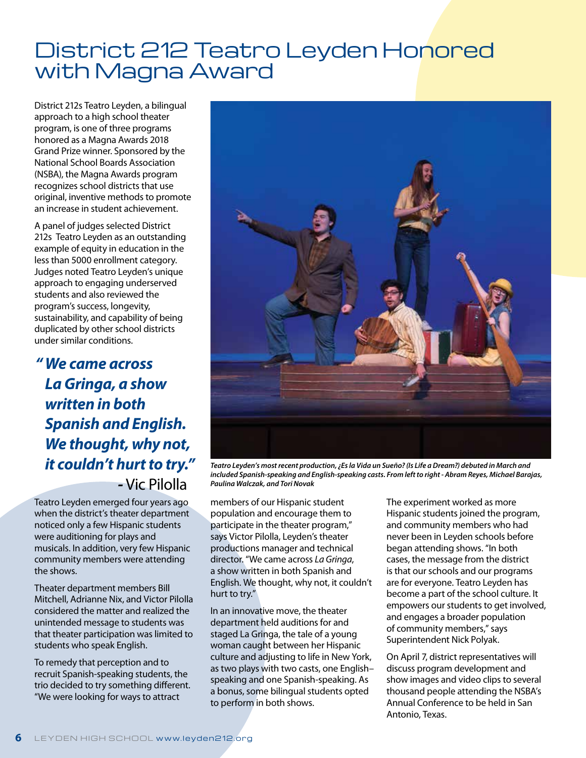## District 212 Teatro Leyden Honored with Magna Award

District 212s Teatro Leyden, a bilingual approach to a high school theater program, is one of three programs honored as a Magna Awards 2018 Grand Prize winner. Sponsored by the National School Boards Association (NSBA), the Magna Awards program recognizes school districts that use original, inventive methods to promote an increase in student achievement.

A panel of judges selected District 212s Teatro Leyden as an outstanding example of equity in education in the less than 5000 enrollment category. Judges noted Teatro Leyden's unique approach to engaging underserved students and also reviewed the program's success, longevity, sustainability, and capability of being duplicated by other school districts under similar conditions.

*"We came across La Gringa, a show written in both Spanish and English. We thought, why not, it couldn't hurt to try." -* Vic Pilolla

Teatro Leyden emerged four years ago when the district's theater department noticed only a few Hispanic students were auditioning for plays and musicals. In addition, very few Hispanic community members were attending the shows.

Theater department members Bill Mitchell, Adrianne Nix, and Victor Pilolla considered the matter and realized the unintended message to students was that theater participation was limited to students who speak English.

To remedy that perception and to recruit Spanish-speaking students, the trio decided to try something different. "We were looking for ways to attract



*Teatro Leyden's most recent production, ¿Es la Vida un Sueño? (Is Life a Dream?) debuted in March and included Spanish-speaking and English-speaking casts. From left to right - Abram Reyes, Michael Barajas, Paulina Walczak, and Tori Novak*

members of our Hispanic student population and encourage them to participate in the theater program," says Victor Pilolla, Leyden's theater productions manager and technical director. "We came across *La Gringa*, a show written in both Spanish and English. We thought, why not, it couldn't hurt to try."

In an innovative move, the theater department held auditions for and staged La Gringa, the tale of a young woman caught between her Hispanic culture and adjusting to life in New York, as two plays with two casts, one English– speaking and one Spanish-speaking. As a bonus, some bilingual students opted to perform in both shows.

The experiment worked as more Hispanic students joined the program, and community members who had never been in Leyden schools before began attending shows. "In both cases, the message from the district is that our schools and our programs are for everyone. Teatro Leyden has become a part of the school culture. It empowers our students to get involved, and engages a broader population of community members," says Superintendent Nick Polyak.

On April 7, district representatives will discuss program development and show images and video clips to several thousand people attending the NSBA's Annual Conference to be held in San Antonio, Texas.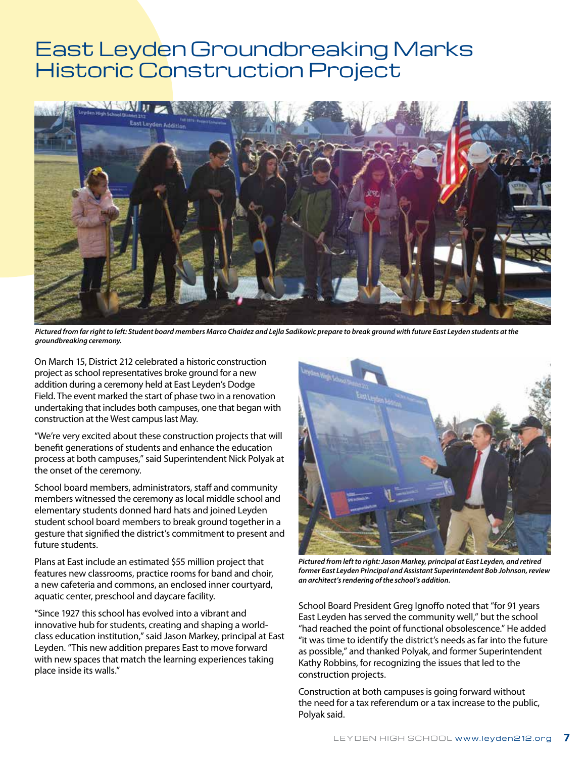### East Leyden Groundbreaking Marks Historic Construction Project



*Pictured from far right to left: Student board members Marco Chaidez and Lejla Sadikovic prepare to break ground with future East Leyden students at the groundbreaking ceremony.*

On March 15, District 212 celebrated a historic construction project as school representatives broke ground for a new addition during a ceremony held at East Leyden's Dodge Field. The event marked the start of phase two in a renovation undertaking that includes both campuses, one that began with construction at the West campus last May.

"We're very excited about these construction projects that will benefit generations of students and enhance the education process at both campuses," said Superintendent Nick Polyak at the onset of the ceremony.

School board members, administrators, staff and community members witnessed the ceremony as local middle school and elementary students donned hard hats and joined Leyden student school board members to break ground together in a gesture that signified the district's commitment to present and future students.

Plans at East include an estimated \$55 million project that features new classrooms, practice rooms for band and choir, a new cafeteria and commons, an enclosed inner courtyard, aquatic center, preschool and daycare facility.

"Since 1927 this school has evolved into a vibrant and innovative hub for students, creating and shaping a worldclass education institution," said Jason Markey, principal at East Leyden. "This new addition prepares East to move forward with new spaces that match the learning experiences taking place inside its walls."



*Pictured from left to right: Jason Markey, principal at East Leyden, and retired former East Leyden Principal and Assistant Superintendent Bob Johnson, review an architect's rendering of the school's addition.*

School Board President Greg Ignoffo noted that "for 91 years East Leyden has served the community well," but the school "had reached the point of functional obsolescence." He added "it was time to identify the district's needs as far into the future as possible," and thanked Polyak, and former Superintendent Kathy Robbins, for recognizing the issues that led to the construction projects.

Construction at both campuses is going forward without the need for a tax referendum or a tax increase to the public, Polyak said.